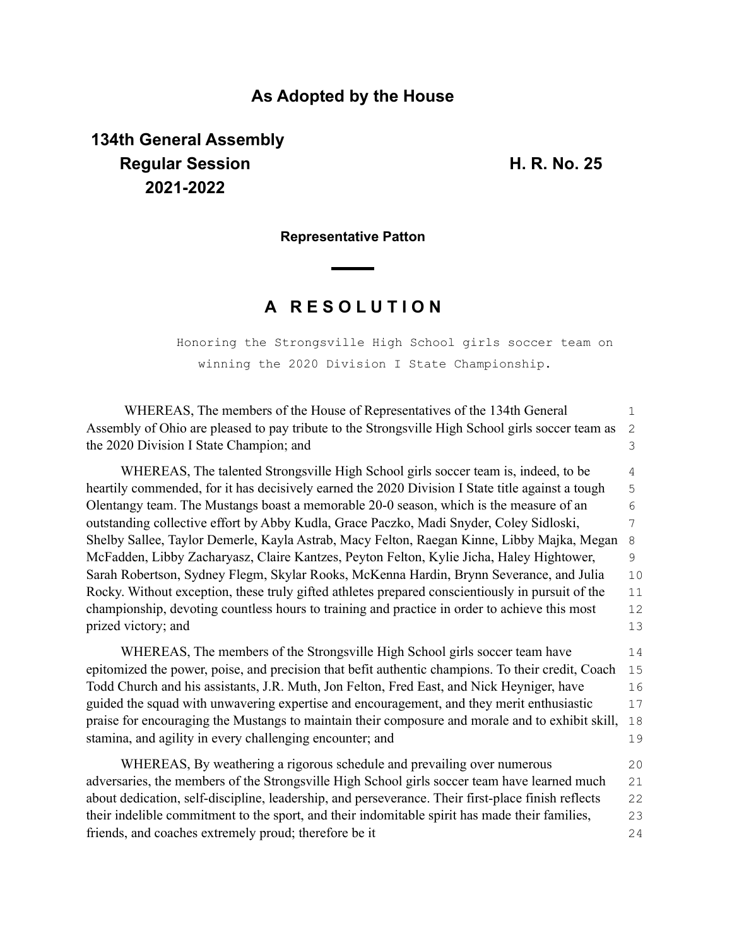### **As Adopted by the House**

# **134th General Assembly Regular Session H. R. No. 25 2021-2022**

**Representative Patton**

## **A R E S O L U T I O N**

Honoring the Strongsville High School girls soccer team on winning the 2020 Division I State Championship.

| WHEREAS, The members of the House of Representatives of the 134th General                          | $\mathbf{1}$ |
|----------------------------------------------------------------------------------------------------|--------------|
| Assembly of Ohio are pleased to pay tribute to the Strongsville High School girls soccer team as   | $\mathbf{2}$ |
| the 2020 Division I State Champion; and                                                            | 3            |
| WHEREAS, The talented Strongsville High School girls soccer team is, indeed, to be                 | 4            |
| heartily commended, for it has decisively earned the 2020 Division I State title against a tough   | 5            |
| Olentangy team. The Mustangs boast a memorable 20-0 season, which is the measure of an             | 6            |
| outstanding collective effort by Abby Kudla, Grace Paczko, Madi Snyder, Coley Sidloski,            | 7            |
| Shelby Sallee, Taylor Demerle, Kayla Astrab, Macy Felton, Raegan Kinne, Libby Majka, Megan         | 8            |
| McFadden, Libby Zacharyasz, Claire Kantzes, Peyton Felton, Kylie Jicha, Haley Hightower,           | 9            |
| Sarah Robertson, Sydney Flegm, Skylar Rooks, McKenna Hardin, Brynn Severance, and Julia            | 10           |
| Rocky. Without exception, these truly gifted athletes prepared conscientiously in pursuit of the   | 11           |
| championship, devoting countless hours to training and practice in order to achieve this most      | 12           |
| prized victory; and                                                                                | 13           |
| WHEREAS, The members of the Strongsville High School girls soccer team have                        | 14           |
| epitomized the power, poise, and precision that befit authentic champions. To their credit, Coach  | 15           |
| Todd Church and his assistants, J.R. Muth, Jon Felton, Fred East, and Nick Heyniger, have          | 16           |
| guided the squad with unwavering expertise and encouragement, and they merit enthusiastic          | 17           |
| praise for encouraging the Mustangs to maintain their composure and morale and to exhibit skill,   | 18           |
| stamina, and agility in every challenging encounter; and                                           | 19           |
| WHEREAS, By weathering a rigorous schedule and prevailing over numerous                            | 20           |
| adversaries, the members of the Strongsville High School girls soccer team have learned much       | 21           |
| about dedication, self-discipline, leadership, and perseverance. Their first-place finish reflects | 22           |
| their indelible commitment to the sport, and their indomitable spirit has made their families,     | 23           |
| friends, and coaches extremely proud; therefore be it                                              | 24           |